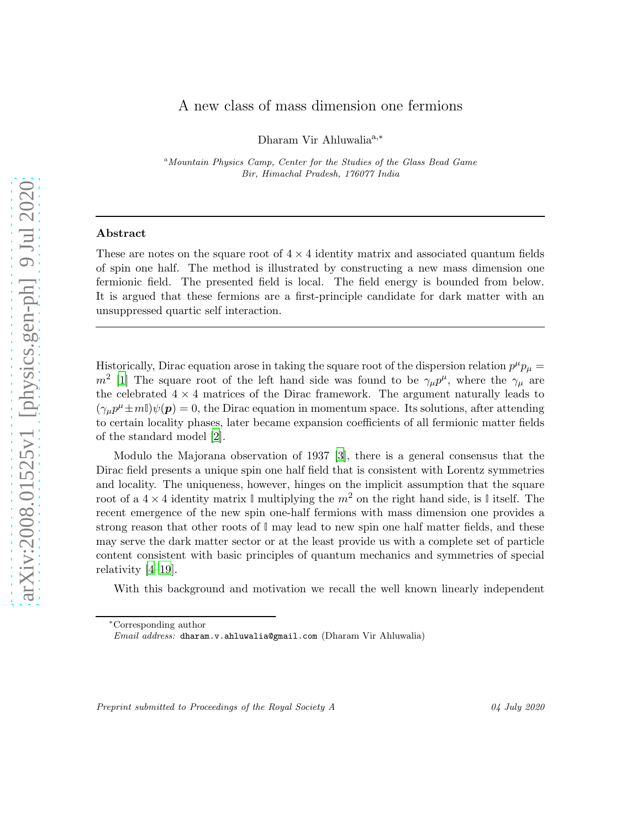## A new class of mass dimension one fermions

Dharam Vir Ahluwalia<sup>a,\*</sup>

<sup>a</sup>Mountain Physics Camp, Center for the Studies of the Glass Bead Game Bir, Himachal Pradesh, 176077 India

## Abstract

These are notes on the square root of  $4 \times 4$  identity matrix and associated quantum fields of spin one half. The method is illustrated by constructing a new mass dimension one fermionic field. The presented field is local. The field energy is bounded from below. It is argued that these fermions are a first-principle candidate for dark matter with an unsuppressed quartic self interaction.

Historically, Dirac equation arose in taking the square root of the dispersion relation  $p^{\mu}p_{\mu} =$  $m^2$  [\[1\]](#page-7-0) The square root of the left hand side was found to be  $\gamma_\mu p^\mu$ , where the  $\gamma_\mu$  are the celebrated  $4 \times 4$  matrices of the Dirac framework. The argument naturally leads to  $(\gamma_{\mu}p^{\mu} \pm m\mathbb{I})\psi(\mathbf{p}) = 0$ , the Dirac equation in momentum space. Its solutions, after attending to certain locality phases, later became expansion coefficients of all fermionic matter fields of the standard model [\[2](#page-7-1)].

Modulo the Majorana observation of 1937 [\[3](#page-7-2)], there is a general consensus that the Dirac field presents a unique spin one half field that is consistent with Lorentz symmetries and locality. The uniqueness, however, hinges on the implicit assumption that the square root of a  $4 \times 4$  identity matrix  $\mathbb{I}$  multiplying the  $m^2$  on the right hand side, is  $\mathbb{I}$  itself. The recent emergence of the new spin one-half fermions with mass dimension one provides a strong reason that other roots of **I** may lead to new spin one half matter fields, and these may serve the dark matter sector or at the least provide us with a complete set of particle content consistent with basic principles of quantum mechanics and symmetries of special relativity [\[4](#page-7-3)[–19](#page-8-0)].

With this background and motivation we recall the well known linearly independent

Preprint submitted to Proceedings of the Royal Society A 04 July 2020

<sup>∗</sup>Corresponding author

Email address: dharam.v.ahluwalia@gmail.com (Dharam Vir Ahluwalia)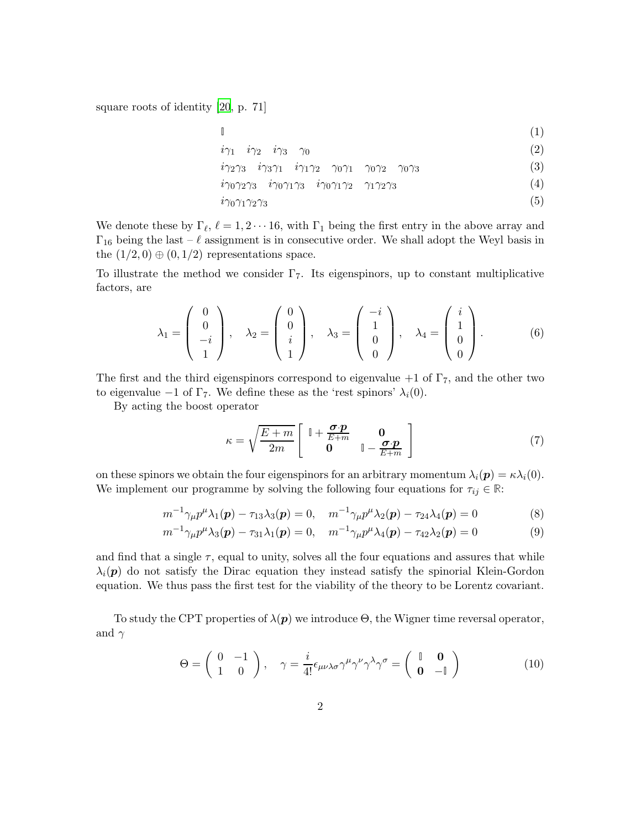square roots of identity [\[20](#page-8-1), p. 71]

$$
\begin{array}{cc}\n\mathbb{I} & \text{(1)} \\
\dot{i}\gamma_1 & \dot{i}\gamma_2 & \dot{i}\gamma_3 & \gamma_0\n\end{array}
$$

$$
i\gamma_2\gamma_3 \quad i\gamma_3\gamma_1 \quad i\gamma_1\gamma_2 \quad \gamma_0\gamma_1 \quad \gamma_0\gamma_2 \quad \gamma_0\gamma_3 \tag{3}
$$

 $i\gamma_0\gamma_2\gamma_3$   $i\gamma_0\gamma_1\gamma_3$   $i\gamma_0\gamma_1\gamma_2$   $\gamma_1\gamma_2\gamma_3$  (4)

$$
i\gamma_0\gamma_1\gamma_2\gamma_3\tag{5}
$$

We denote these by  $\Gamma_{\ell}$ ,  $\ell = 1, 2 \cdots 16$ , with  $\Gamma_1$  being the first entry in the above array and  $\Gamma_{16}$  being the last –  $\ell$  assignment is in consecutive order. We shall adopt the Weyl basis in the  $(1/2, 0) \oplus (0, 1/2)$  representations space.

To illustrate the method we consider  $\Gamma$ <sub>7</sub>. Its eigenspinors, up to constant multiplicative factors, are

$$
\lambda_1 = \begin{pmatrix} 0 \\ 0 \\ -i \\ 1 \end{pmatrix}, \quad \lambda_2 = \begin{pmatrix} 0 \\ 0 \\ i \\ 1 \end{pmatrix}, \quad \lambda_3 = \begin{pmatrix} -i \\ 1 \\ 0 \\ 0 \end{pmatrix}, \quad \lambda_4 = \begin{pmatrix} i \\ 1 \\ 0 \\ 0 \end{pmatrix}.
$$
 (6)

The first and the third eigenspinors correspond to eigenvalue  $+1$  of  $\Gamma_7$ , and the other two to eigenvalue  $-1$  of  $\Gamma$ 7. We define these as the 'rest spinors'  $\lambda_i(0)$ .

By acting the boost operator

$$
\kappa = \sqrt{\frac{E+m}{2m}} \begin{bmatrix} \mathbb{I} + \frac{\boldsymbol{\sigma} \cdot \boldsymbol{p}}{E+m} & \mathbf{0} \\ \mathbf{0} & \mathbb{I} - \frac{\boldsymbol{\sigma} \cdot \boldsymbol{p}}{E+m} \end{bmatrix}
$$
(7)

on these spinors we obtain the four eigenspinors for an arbitrary momentum  $\lambda_i(\mathbf{p}) = \kappa \lambda_i(0)$ . We implement our programme by solving the following four equations for  $\tau_{ij} \in \mathbb{R}$ :

$$
m^{-1}\gamma_{\mu}p^{\mu}\lambda_1(\mathbf{p}) - \tau_{13}\lambda_3(\mathbf{p}) = 0, \quad m^{-1}\gamma_{\mu}p^{\mu}\lambda_2(\mathbf{p}) - \tau_{24}\lambda_4(\mathbf{p}) = 0 \tag{8}
$$

$$
m^{-1}\gamma_{\mu}p^{\mu}\lambda_3(\boldsymbol{p}) - \tau_{31}\lambda_1(\boldsymbol{p}) = 0, \quad m^{-1}\gamma_{\mu}p^{\mu}\lambda_4(\boldsymbol{p}) - \tau_{42}\lambda_2(\boldsymbol{p}) = 0 \tag{9}
$$

and find that a single  $\tau$ , equal to unity, solves all the four equations and assures that while  $\lambda_i(\mathbf{p})$  do not satisfy the Dirac equation they instead satisfy the spinorial Klein-Gordon equation. We thus pass the first test for the viability of the theory to be Lorentz covariant.

To study the CPT properties of  $\lambda(\mathbf{p})$  we introduce  $\Theta$ , the Wigner time reversal operator, and  $\gamma$ 

$$
\Theta = \begin{pmatrix} 0 & -1 \\ 1 & 0 \end{pmatrix}, \quad \gamma = \frac{i}{4!} \epsilon_{\mu\nu\lambda\sigma} \gamma^{\mu} \gamma^{\nu} \gamma^{\lambda} \gamma^{\sigma} = \begin{pmatrix} \mathbb{I} & \mathbf{0} \\ \mathbf{0} & -\mathbb{I} \end{pmatrix}
$$
(10)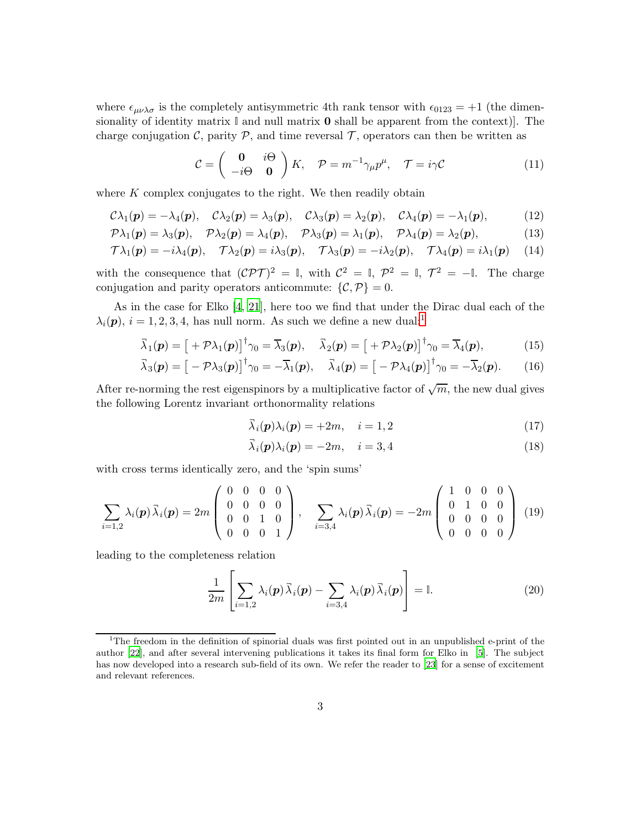where  $\epsilon_{\mu\nu\lambda\sigma}$  is the completely antisymmetric 4th rank tensor with  $\epsilon_{0123} = +1$  (the dimensionality of identity matrix **I** and null matrix 0 shall be apparent from the context)]. The charge conjugation C, parity  $P$ , and time reversal  $T$ , operators can then be written as

$$
\mathcal{C} = \begin{pmatrix} \mathbf{0} & i\Theta \\ -i\Theta & \mathbf{0} \end{pmatrix} K, \quad \mathcal{P} = m^{-1}\gamma_{\mu}p^{\mu}, \quad \mathcal{T} = i\gamma \mathcal{C}
$$
 (11)

where  $K$  complex conjugates to the right. We then readily obtain

$$
C\lambda_1(\boldsymbol{p})=-\lambda_4(\boldsymbol{p}), \quad C\lambda_2(\boldsymbol{p})=\lambda_3(\boldsymbol{p}), \quad C\lambda_3(\boldsymbol{p})=\lambda_2(\boldsymbol{p}), \quad C\lambda_4(\boldsymbol{p})=-\lambda_1(\boldsymbol{p}), \quad (12)
$$

$$
\mathcal{P}\lambda_1(\boldsymbol{p})=\lambda_3(\boldsymbol{p}),\quad \mathcal{P}\lambda_2(\boldsymbol{p})=\lambda_4(\boldsymbol{p}),\quad \mathcal{P}\lambda_3(\boldsymbol{p})=\lambda_1(\boldsymbol{p}),\quad \mathcal{P}\lambda_4(\boldsymbol{p})=\lambda_2(\boldsymbol{p}),\quad (13)
$$

$$
\mathcal{T}\lambda_1(\boldsymbol{p}) = -i\lambda_4(\boldsymbol{p}), \quad \mathcal{T}\lambda_2(\boldsymbol{p}) = i\lambda_3(\boldsymbol{p}), \quad \mathcal{T}\lambda_3(\boldsymbol{p}) = -i\lambda_2(\boldsymbol{p}), \quad \mathcal{T}\lambda_4(\boldsymbol{p}) = i\lambda_1(\boldsymbol{p}) \tag{14}
$$

with the consequence that  $({\cal CPT})^2 = \mathbb{I}$ , with  $C^2 = \mathbb{I}$ ,  $\mathcal{P}^2 = \mathbb{I}$ ,  $\mathcal{T}^2 = -\mathbb{I}$ . The charge conjugation and parity operators anticommute:  $\{\mathcal{C}, \mathcal{P}\} = 0$ .

As in the case for Elko [\[4,](#page-7-3) [21](#page-8-2)], here too we find that under the Dirac dual each of the  $\lambda_i(\mathbf{p}), i = 1, 2, 3, 4$  $\lambda_i(\mathbf{p}), i = 1, 2, 3, 4$  $\lambda_i(\mathbf{p}), i = 1, 2, 3, 4$ , has null norm. As such we define a new dual:<sup>1</sup>

$$
\overline{\lambda}_1(\mathbf{p}) = \left[ +\mathcal{P}\lambda_1(\mathbf{p}) \right]^\dagger \gamma_0 = \overline{\lambda}_3(\mathbf{p}), \quad \overline{\lambda}_2(\mathbf{p}) = \left[ +\mathcal{P}\lambda_2(\mathbf{p}) \right]^\dagger \gamma_0 = \overline{\lambda}_4(\mathbf{p}), \tag{15}
$$

$$
\overline{\lambda}_3(\boldsymbol{p}) = \left[ -\mathcal{P}\lambda_3(\boldsymbol{p}) \right]^{\dagger} \gamma_0 = -\overline{\lambda}_1(\boldsymbol{p}), \quad \overline{\lambda}_4(\boldsymbol{p}) = \left[ -\mathcal{P}\lambda_4(\boldsymbol{p}) \right]^{\dagger} \gamma_0 = -\overline{\lambda}_2(\boldsymbol{p}). \tag{16}
$$

After re-norming the rest eigenspinors by a multiplicative factor of  $\sqrt{m}$ , the new dual gives the following Lorentz invariant orthonormality relations

<span id="page-2-5"></span>
$$
\bar{\lambda}_i(\mathbf{p})\lambda_i(\mathbf{p}) = +2m, \quad i = 1, 2
$$
\n(17)

<span id="page-2-4"></span><span id="page-2-3"></span><span id="page-2-2"></span>
$$
\vec{\lambda}_i(\mathbf{p})\lambda_i(\mathbf{p}) = -2m, \quad i = 3, 4 \tag{18}
$$

with cross terms identically zero, and the 'spin sums'

$$
\sum_{i=1,2} \lambda_i(\mathbf{p}) \overline{\lambda}_i(\mathbf{p}) = 2m \begin{pmatrix} 0 & 0 & 0 & 0 \\ 0 & 0 & 0 & 0 \\ 0 & 0 & 1 & 0 \\ 0 & 0 & 0 & 1 \end{pmatrix}, \quad \sum_{i=3,4} \lambda_i(\mathbf{p}) \overline{\lambda}_i(\mathbf{p}) = -2m \begin{pmatrix} 1 & 0 & 0 & 0 \\ 0 & 1 & 0 & 0 \\ 0 & 0 & 0 & 0 \\ 0 & 0 & 0 & 0 \end{pmatrix}
$$
(19)

leading to the completeness relation

<span id="page-2-1"></span>
$$
\frac{1}{2m} \left[ \sum_{i=1,2} \lambda_i(\boldsymbol{p}) \, \overline{\lambda}_i(\boldsymbol{p}) - \sum_{i=3,4} \lambda_i(\boldsymbol{p}) \, \overline{\lambda}_i(\boldsymbol{p}) \right] = \mathbb{I}.
$$
 (20)

<span id="page-2-0"></span><sup>&</sup>lt;sup>1</sup>The freedom in the definition of spinorial duals was first pointed out in an unpublished e-print of the author [\[22\]](#page-8-3), and after several intervening publications it takes its final form for Elko in [\[5](#page-7-4)]. The subject has now developed into a research sub-field of its own. We refer the reader to [\[23](#page-8-4)] for a sense of excitement and relevant references.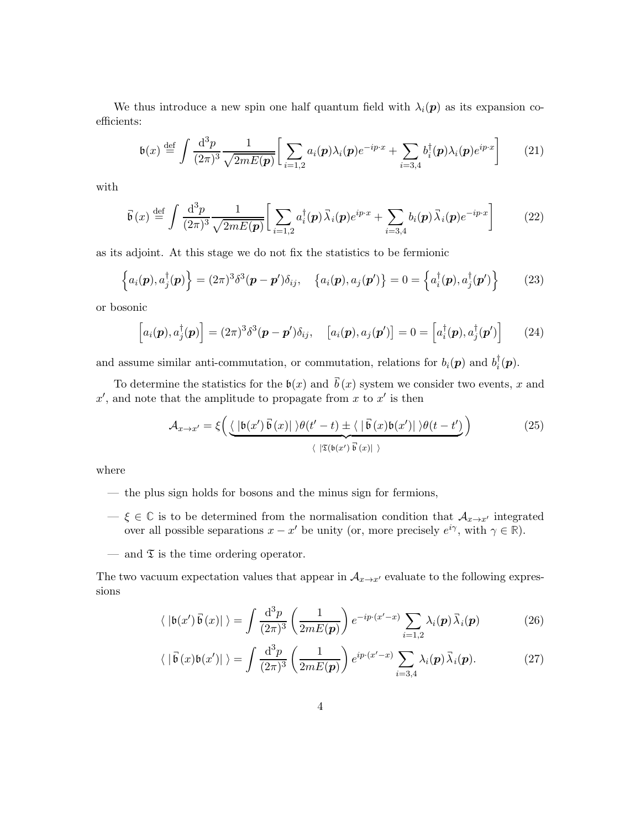We thus introduce a new spin one half quantum field with  $\lambda_i(\mathbf{p})$  as its expansion coefficients:

$$
\mathfrak{b}(x) \stackrel{\text{def}}{=} \int \frac{\mathrm{d}^3 p}{(2\pi)^3} \frac{1}{\sqrt{2mE(\boldsymbol{p})}} \bigg[ \sum_{i=1,2} a_i(\boldsymbol{p}) \lambda_i(\boldsymbol{p}) e^{-ip\cdot x} + \sum_{i=3,4} b_i^{\dagger}(\boldsymbol{p}) \lambda_i(\boldsymbol{p}) e^{ip\cdot x} \bigg] \tag{21}
$$

with

$$
\vec{\mathfrak{b}}(x) \stackrel{\text{def}}{=} \int \frac{\mathrm{d}^3 p}{(2\pi)^3} \frac{1}{\sqrt{2mE(\boldsymbol{p})}} \bigg[ \sum_{i=1,2} a_i^{\dagger}(\boldsymbol{p}) \vec{\lambda}_i(\boldsymbol{p}) e^{ip\cdot x} + \sum_{i=3,4} b_i(\boldsymbol{p}) \vec{\lambda}_i(\boldsymbol{p}) e^{-ip\cdot x} \bigg] \tag{22}
$$

as its adjoint. At this stage we do not fix the statistics to be fermionic

$$
\left\{a_i(\boldsymbol{p}), a_j^\dagger(\boldsymbol{p})\right\} = (2\pi)^3 \delta^3(\boldsymbol{p} - \boldsymbol{p}')\delta_{ij}, \quad \left\{a_i(\boldsymbol{p}), a_j(\boldsymbol{p}')\right\} = 0 = \left\{a_i^\dagger(\boldsymbol{p}), a_j^\dagger(\boldsymbol{p}')\right\} \tag{23}
$$

or bosonic

<span id="page-3-2"></span><span id="page-3-1"></span>
$$
\left[a_i(\boldsymbol{p}), a_j^{\dagger}(\boldsymbol{p})\right] = (2\pi)^3 \delta^3(\boldsymbol{p} - \boldsymbol{p}')\delta_{ij}, \quad \left[a_i(\boldsymbol{p}), a_j(\boldsymbol{p}')\right] = 0 = \left[a_i^{\dagger}(\boldsymbol{p}), a_j^{\dagger}(\boldsymbol{p}')\right] \tag{24}
$$

and assume similar anti-commutation, or commutation, relations for  $b_i(\mathbf{p})$  and  $b_i^{\dagger}$  $i^{\scriptscriptstyle{\intercal}}(\boldsymbol{p})$ .

To determine the statistics for the  $\mathfrak{b}(x)$  and  $\vec{b}(x)$  system we consider two events, x and  $x'$ , and note that the amplitude to propagate from x to  $x'$  is then

<span id="page-3-0"></span>
$$
\mathcal{A}_{x \to x'} = \xi \left( \underbrace{\langle |\mathfrak{b}(x') \overline{\mathfrak{b}}(x)| \rangle \theta(t'-t) \pm \langle |\overline{\mathfrak{b}}(x) \mathfrak{b}(x')| \rangle \theta(t-t')}_{\langle |\mathfrak{T}(\mathfrak{b}(x') \overline{\mathfrak{b}}(x)| \rangle} \right)
$$
(25)

where

- the plus sign holds for bosons and the minus sign for fermions,
- $\xi$  ∈  $\mathbb C$  is to be determined from the normalisation condition that  $\mathcal A_{x\to x'}$  integrated over all possible separations  $x - x'$  be unity (or, more precisely  $e^{i\gamma}$ , with  $\gamma \in \mathbb{R}$ ).
- and  $\mathfrak T$  is the time ordering operator.

The two vacuum expectation values that appear in  $A_{x\to x'}$  evaluate to the following expressions

$$
\langle |\mathfrak{b}(x')\,\vec{\mathfrak{b}}(x)|\,\rangle = \int \frac{\mathrm{d}^3 p}{(2\pi)^3} \left(\frac{1}{2mE(\boldsymbol{p})}\right) e^{-ip\cdot(x'-x)} \sum_{i=1,2} \lambda_i(\boldsymbol{p}) \,\vec{\lambda}_i(\boldsymbol{p}) \tag{26}
$$

$$
\langle |\vec{\mathfrak{b}}(x)\mathfrak{b}(x')|\rangle = \int \frac{\mathrm{d}^3 p}{(2\pi)^3} \left(\frac{1}{2mE(\boldsymbol{p})}\right) e^{ip\cdot(x'-x)} \sum_{i=3,4} \lambda_i(\boldsymbol{p}) \vec{\lambda}_i(\boldsymbol{p}).\tag{27}
$$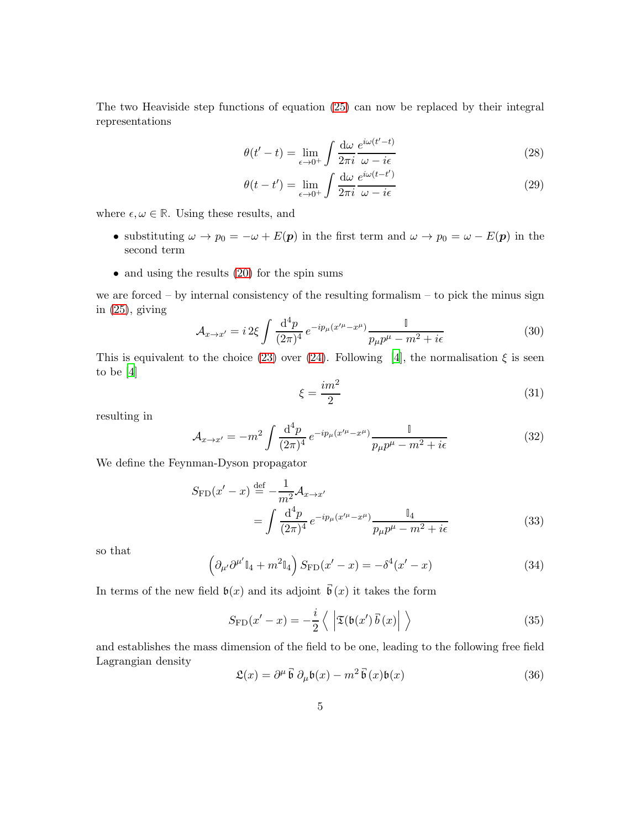The two Heaviside step functions of equation [\(25\)](#page-3-0) can now be replaced by their integral representations

$$
\theta(t'-t) = \lim_{\epsilon \to 0^+} \int \frac{d\omega}{2\pi i} \frac{e^{i\omega(t'-t)}}{\omega - i\epsilon}
$$
(28)

$$
\theta(t - t') = \lim_{\epsilon \to 0^+} \int \frac{d\omega}{2\pi i} \frac{e^{i\omega(t - t')}}{\omega - i\epsilon}
$$
\n(29)

where  $\epsilon, \omega \in \mathbb{R}$ . Using these results, and

- substituting  $\omega \to p_0 = -\omega + E(p)$  in the first term and  $\omega \to p_0 = \omega E(p)$  in the second term
- and using the results  $(20)$  for the spin sums

we are forced – by internal consistency of the resulting formalism – to pick the minus sign in  $(25)$ , giving

$$
\mathcal{A}_{x \to x'} = i \, 2\xi \int \frac{\mathrm{d}^4 p}{(2\pi)^4} \, e^{-ip_\mu(x'^\mu - x^\mu)} \frac{\mathbb{I}}{p_\mu p^\mu - m^2 + i\epsilon} \tag{30}
$$

This is equivalent to the choice [\(23\)](#page-3-1) over [\(24\)](#page-3-2). Following [\[4\]](#page-7-3), the normalisation  $\xi$  is seen to be [\[4](#page-7-3)]

$$
\xi = \frac{im^2}{2} \tag{31}
$$

resulting in

$$
\mathcal{A}_{x \to x'} = -m^2 \int \frac{\mathrm{d}^4 p}{(2\pi)^4} e^{-ip_\mu(x'^\mu - x^\mu)} \frac{\mathbb{I}}{p_\mu p^\mu - m^2 + i\epsilon} \tag{32}
$$

We define the Feynman-Dyson propagator

$$
S_{\rm FD}(x'-x) \stackrel{\text{def}}{=} -\frac{1}{m^2} \mathcal{A}_{x \to x'}
$$
  
= 
$$
\int \frac{d^4 p}{(2\pi)^4} e^{-ip_\mu(x'^\mu - x^\mu)} \frac{\mathbb{I}_4}{p_\mu p^\mu - m^2 + i\epsilon}
$$
 (33)

so that

$$
\left(\partial_{\mu'}\partial^{\mu'}\mathbb{I}_4 + m^2 \mathbb{I}_4\right)S_{\text{FD}}(x'-x) = -\delta^4(x'-x) \tag{34}
$$

In terms of the new field  $\mathfrak{b}(x)$  and its adjoint  $\vec{\mathfrak{b}}(x)$  it takes the form

$$
S_{\rm FD}(x'-x) = -\frac{i}{2} \left\langle \left| \mathfrak{T}(\mathfrak{b}(x') \,\vec{b}(x) \right| \right\rangle \tag{35}
$$

and establishes the mass dimension of the field to be one, leading to the following free field Lagrangian density ¬ ¬

$$
\mathfrak{L}(x) = \partial^{\mu} \vec{\mathfrak{b}} \; \partial_{\mu} \mathfrak{b}(x) - m^2 \vec{\mathfrak{b}}(x) \mathfrak{b}(x) \tag{36}
$$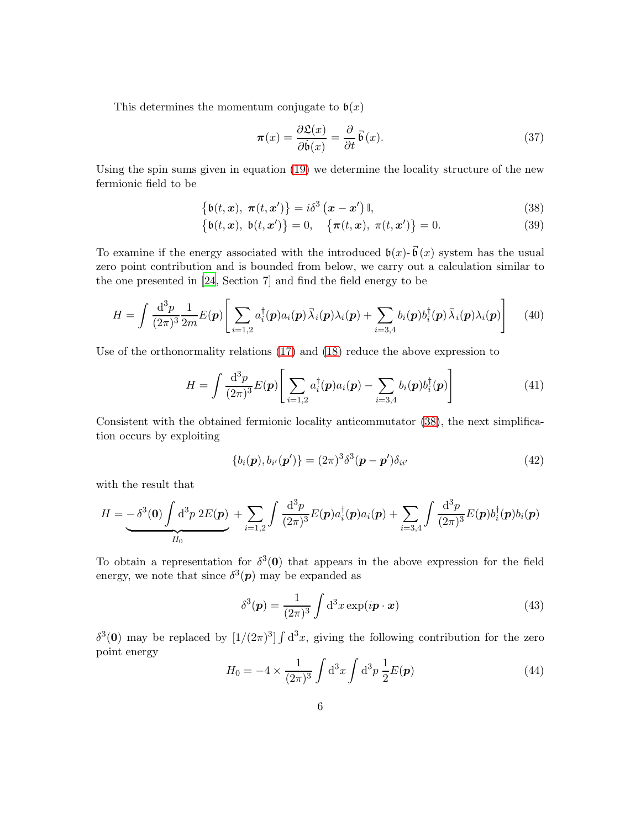This determines the momentum conjugate to  $\mathfrak{b}(x)$ 

<span id="page-5-1"></span><span id="page-5-0"></span>
$$
\pi(x) = \frac{\partial \mathfrak{L}(x)}{\partial \dot{\mathfrak{b}}(x)} = \frac{\partial}{\partial t} \vec{\mathfrak{b}}(x). \tag{37}
$$

Using the spin sums given in equation [\(19\)](#page-2-2) we determine the locality structure of the new fermionic field to be

$$
\{b(t, \mathbf{x}), \ \boldsymbol{\pi}(t, \mathbf{x}')\} = i\delta^3\left(\mathbf{x} - \mathbf{x}'\right)\mathbb{I},\tag{38}
$$

$$
\{b(t, x), b(t, x')\} = 0, \quad \{\pi(t, x), \pi(t, x')\} = 0.
$$
 (39)

To examine if the energy associated with the introduced  $\mathfrak{b}(x)$ - $\vec{\mathfrak{b}}(x)$  system has the usual zero point contribution and is bounded from below, we carry out a calculation similar to the one presented in [\[24](#page-8-5), Section 7] and find the field energy to be

$$
H = \int \frac{\mathrm{d}^3 p}{(2\pi)^3} \frac{1}{2m} E(\boldsymbol{p}) \Bigg[ \sum_{i=1,2} a_i^{\dagger}(\boldsymbol{p}) a_i(\boldsymbol{p}) \bar{\lambda}_i(\boldsymbol{p}) \lambda_i(\boldsymbol{p}) + \sum_{i=3,4} b_i(\boldsymbol{p}) b_i^{\dagger}(\boldsymbol{p}) \bar{\lambda}_i(\boldsymbol{p}) \lambda_i(\boldsymbol{p}) \Bigg] \qquad (40)
$$

Use of the orthonormality relations [\(17\)](#page-2-3) and [\(18\)](#page-2-4) reduce the above expression to

$$
H = \int \frac{\mathrm{d}^3 p}{(2\pi)^3} E(\boldsymbol{p}) \left[ \sum_{i=1,2} a_i^\dagger(\boldsymbol{p}) a_i(\boldsymbol{p}) - \sum_{i=3,4} b_i(\boldsymbol{p}) b_i^\dagger(\boldsymbol{p}) \right] \tag{41}
$$

Consistent with the obtained fermionic locality anticommutator [\(38\)](#page-5-0), the next simplification occurs by exploiting

<span id="page-5-2"></span>
$$
\{b_i(\boldsymbol{p}), b_{i'}(\boldsymbol{p}')\} = (2\pi)^3 \delta^3(\boldsymbol{p} - \boldsymbol{p}')\delta_{ii'}
$$
\n(42)

with the result that

$$
H = -\delta^3(\mathbf{0}) \int \mathrm{d}^3 p \ 2E(\mathbf{p}) + \sum_{i=1,2} \int \frac{\mathrm{d}^3 p}{(2\pi)^3} E(\mathbf{p}) a_i^{\dagger}(\mathbf{p}) a_i(\mathbf{p}) + \sum_{i=3,4} \int \frac{\mathrm{d}^3 p}{(2\pi)^3} E(\mathbf{p}) b_i^{\dagger}(\mathbf{p}) b_i(\mathbf{p})
$$

To obtain a representation for  $\delta^3(0)$  that appears in the above expression for the field energy, we note that since  $\delta^3(p)$  may be expanded as

$$
\delta^3(\mathbf{p}) = \frac{1}{(2\pi)^3} \int d^3x \exp(i\mathbf{p} \cdot \mathbf{x}) \tag{43}
$$

 $\delta^3(0)$  may be replaced by  $[1/(2\pi)^3] \int d^3x$ , giving the following contribution for the zero point energy

$$
H_0 = -4 \times \frac{1}{(2\pi)^3} \int d^3x \int d^3p \frac{1}{2} E(\mathbf{p})
$$
 (44)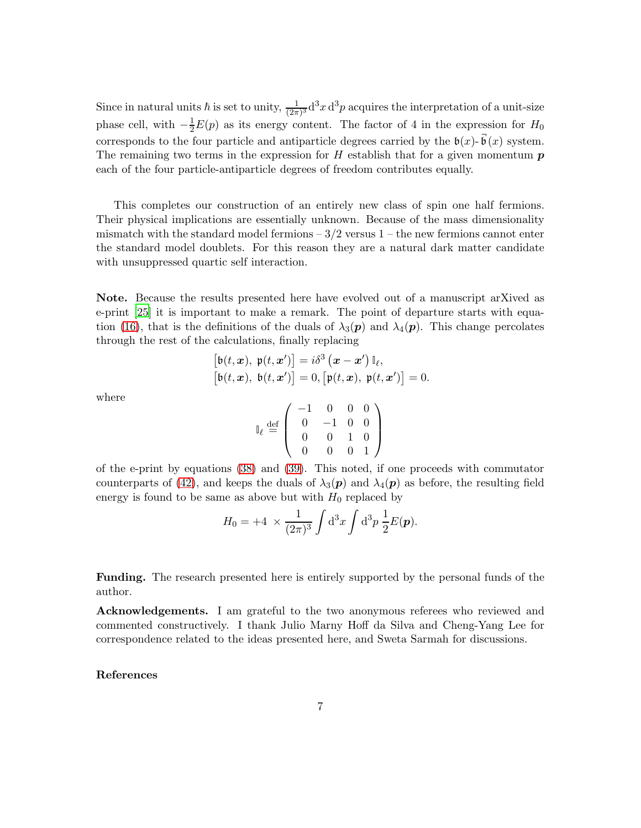Since in natural units  $\hbar$  is set to unity,  $\frac{1}{(2\pi)^3} d^3x d^3p$  acquires the interpretation of a unit-size phase cell, with  $-\frac{1}{2}E(p)$  as its energy content. The factor of 4 in the expression for  $H_0$ corresponds to the four particle and antiparticle degrees carried by the  $\mathfrak{b}(x)$ - $\vec{\mathfrak{b}}(x)$  system. The remaining two terms in the expression for  $H$  establish that for a given momentum  $p$ each of the four particle-antiparticle degrees of freedom contributes equally.

This completes our construction of an entirely new class of spin one half fermions. Their physical implications are essentially unknown. Because of the mass dimensionality mismatch with the standard model fermions  $-3/2$  versus  $1$  – the new fermions cannot enter the standard model doublets. For this reason they are a natural dark matter candidate with unsuppressed quartic self interaction.

Note. Because the results presented here have evolved out of a manuscript arXived as e-print [\[25\]](#page-8-6) it is important to make a remark. The point of departure starts with equa-tion [\(16\)](#page-2-5), that is the definitions of the duals of  $\lambda_3(p)$  and  $\lambda_4(p)$ . This change percolates through the rest of the calculations, finally replacing

$$
\begin{aligned} \left[\mathfrak{b}(t,\boldsymbol{x}),\ \mathfrak{p}(t,\boldsymbol{x}')\right] &= i\delta^3\left(\boldsymbol{x}-\boldsymbol{x}'\right)\mathbb{I}_{\ell},\\ \left[\mathfrak{b}(t,\boldsymbol{x}),\ \mathfrak{b}(t,\boldsymbol{x}')\right] &= 0, \left[\mathfrak{p}(t,\boldsymbol{x}),\ \mathfrak{p}(t,\boldsymbol{x}')\right] = 0. \end{aligned}
$$

where

$$
\mathbb{I}_{\ell} \stackrel{\text{def}}{=} \left( \begin{array}{rrr} -1 & 0 & 0 & 0 \\ 0 & -1 & 0 & 0 \\ 0 & 0 & 1 & 0 \\ 0 & 0 & 0 & 1 \end{array} \right)
$$

of the e-print by equations [\(38\)](#page-5-0) and [\(39\)](#page-5-1). This noted, if one proceeds with commutator counterparts of [\(42\)](#page-5-2), and keeps the duals of  $\lambda_3(p)$  and  $\lambda_4(p)$  as before, the resulting field energy is found to be same as above but with  $H_0$  replaced by

$$
H_0 = +4 \times \frac{1}{(2\pi)^3} \int d^3x \int d^3p \, \frac{1}{2} E(\mathbf{p}).
$$

Funding. The research presented here is entirely supported by the personal funds of the author.

Acknowledgements. I am grateful to the two anonymous referees who reviewed and commented constructively. I thank Julio Marny Hoff da Silva and Cheng-Yang Lee for correspondence related to the ideas presented here, and Sweta Sarmah for discussions.

## References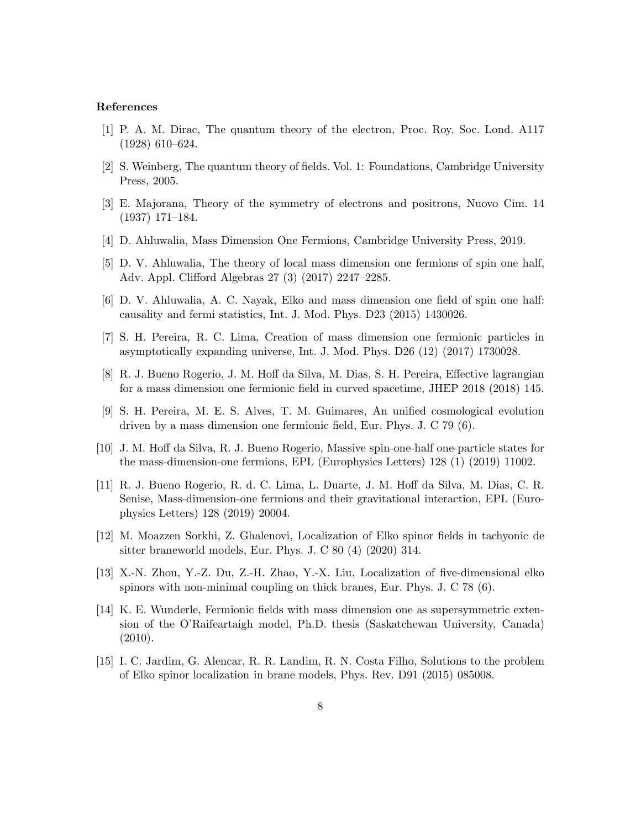## References

- <span id="page-7-0"></span>[1] P. A. M. Dirac, The quantum theory of the electron, Proc. Roy. Soc. Lond. A117 (1928) 610–624.
- <span id="page-7-1"></span>[2] S. Weinberg, The quantum theory of fields. Vol. 1: Foundations, Cambridge University Press, 2005.
- <span id="page-7-2"></span>[3] E. Majorana, Theory of the symmetry of electrons and positrons, Nuovo Cim. 14 (1937) 171–184.
- <span id="page-7-3"></span>[4] D. Ahluwalia, Mass Dimension One Fermions, Cambridge University Press, 2019.
- <span id="page-7-4"></span>[5] D. V. Ahluwalia, The theory of local mass dimension one fermions of spin one half, Adv. Appl. Clifford Algebras 27 (3) (2017) 2247–2285.
- [6] D. V. Ahluwalia, A. C. Nayak, Elko and mass dimension one field of spin one half: causality and fermi statistics, Int. J. Mod. Phys. D23 (2015) 1430026.
- [7] S. H. Pereira, R. C. Lima, Creation of mass dimension one fermionic particles in asymptotically expanding universe, Int. J. Mod. Phys. D26 (12) (2017) 1730028.
- [8] R. J. Bueno Rogerio, J. M. Hoff da Silva, M. Dias, S. H. Pereira, Effective lagrangian for a mass dimension one fermionic field in curved spacetime, JHEP 2018 (2018) 145.
- [9] S. H. Pereira, M. E. S. Alves, T. M. Guimares, An unified cosmological evolution driven by a mass dimension one fermionic field, Eur. Phys. J. C 79 (6).
- [10] J. M. Hoff da Silva, R. J. Bueno Rogerio, Massive spin-one-half one-particle states for the mass-dimension-one fermions, EPL (Europhysics Letters) 128 (1) (2019) 11002.
- [11] R. J. Bueno Rogerio, R. d. C. Lima, L. Duarte, J. M. Hoff da Silva, M. Dias, C. R. Senise, Mass-dimension-one fermions and their gravitational interaction, EPL (Europhysics Letters) 128 (2019) 20004.
- [12] M. Moazzen Sorkhi, Z. Ghalenovi, Localization of Elko spinor fields in tachyonic de sitter braneworld models, Eur. Phys. J. C 80 (4) (2020) 314.
- [13] X.-N. Zhou, Y.-Z. Du, Z.-H. Zhao, Y.-X. Liu, Localization of five-dimensional elko spinors with non-minimal coupling on thick branes, Eur. Phys. J. C 78 (6).
- [14] K. E. Wunderle, Fermionic fields with mass dimension one as supersymmetric extension of the O'Raifeartaigh model, Ph.D. thesis (Saskatchewan University, Canada) (2010).
- [15] I. C. Jardim, G. Alencar, R. R. Landim, R. N. Costa Filho, Solutions to the problem of Elko spinor localization in brane models, Phys. Rev. D91 (2015) 085008.